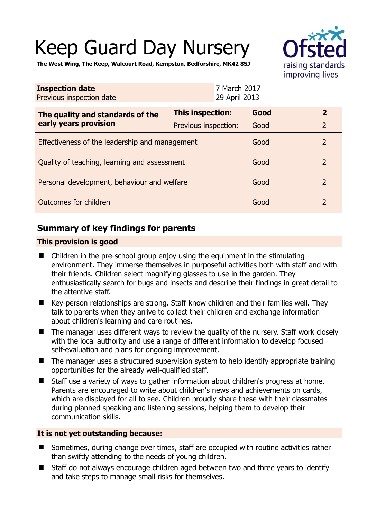# Keep Guard Day Nursery



**The West Wing, The Keep, Walcourt Road, Kempston, Bedforshire, MK42 8SJ** 

| <b>Inspection date</b><br>Previous inspection date        | 7 March 2017<br>29 April 2013 |      |                |
|-----------------------------------------------------------|-------------------------------|------|----------------|
| The quality and standards of the<br>early years provision | <b>This inspection:</b>       | Good | $\mathbf{2}$   |
|                                                           | Previous inspection:          | Good | $\overline{2}$ |
| Effectiveness of the leadership and management            |                               | Good | $\overline{2}$ |
| Quality of teaching, learning and assessment              |                               | Good | $\overline{2}$ |
| Personal development, behaviour and welfare               |                               | Good | $\overline{2}$ |
| Outcomes for children                                     |                               | Good | $\overline{2}$ |

## **Summary of key findings for parents**

#### **This provision is good**

- Children in the pre-school group enjoy using the equipment in the stimulating environment. They immerse themselves in purposeful activities both with staff and with their friends. Children select magnifying glasses to use in the garden. They enthusiastically search for bugs and insects and describe their findings in great detail to the attentive staff.
- Key-person relationships are strong. Staff know children and their families well. They talk to parents when they arrive to collect their children and exchange information about children's learning and care routines.
- The manager uses different ways to review the quality of the nursery. Staff work closely with the local authority and use a range of different information to develop focused self-evaluation and plans for ongoing improvement.
- The manager uses a structured supervision system to help identify appropriate training opportunities for the already well-qualified staff.
- Staff use a variety of ways to gather information about children's progress at home. Parents are encouraged to write about children's news and achievements on cards, which are displayed for all to see. Children proudly share these with their classmates during planned speaking and listening sessions, helping them to develop their communication skills.

#### **It is not yet outstanding because:**

- Sometimes, during change over times, staff are occupied with routine activities rather than swiftly attending to the needs of young children.
- Staff do not always encourage children aged between two and three years to identify and take steps to manage small risks for themselves.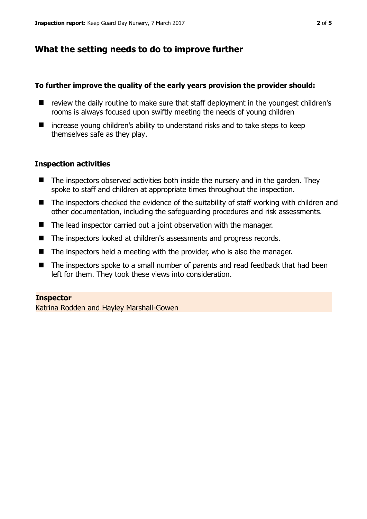## **What the setting needs to do to improve further**

#### **To further improve the quality of the early years provision the provider should:**

- review the daily routine to make sure that staff deployment in the youngest children's rooms is always focused upon swiftly meeting the needs of young children
- $\blacksquare$  increase young children's ability to understand risks and to take steps to keep themselves safe as they play.

#### **Inspection activities**

- $\blacksquare$  The inspectors observed activities both inside the nursery and in the garden. They spoke to staff and children at appropriate times throughout the inspection.
- The inspectors checked the evidence of the suitability of staff working with children and other documentation, including the safeguarding procedures and risk assessments.
- The lead inspector carried out a joint observation with the manager.
- The inspectors looked at children's assessments and progress records.
- The inspectors held a meeting with the provider, who is also the manager.
- The inspectors spoke to a small number of parents and read feedback that had been left for them. They took these views into consideration.

#### **Inspector**

Katrina Rodden and Hayley Marshall-Gowen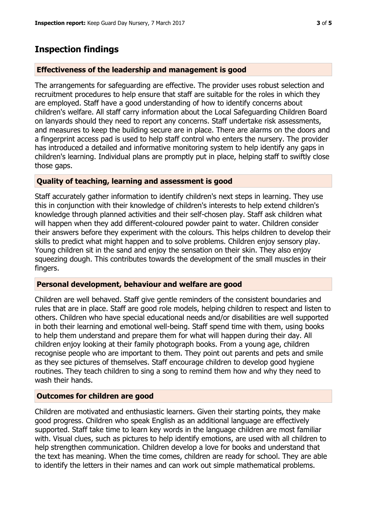### **Inspection findings**

#### **Effectiveness of the leadership and management is good**

The arrangements for safeguarding are effective. The provider uses robust selection and recruitment procedures to help ensure that staff are suitable for the roles in which they are employed. Staff have a good understanding of how to identify concerns about children's welfare. All staff carry information about the Local Safeguarding Children Board on lanyards should they need to report any concerns. Staff undertake risk assessments, and measures to keep the building secure are in place. There are alarms on the doors and a fingerprint access pad is used to help staff control who enters the nursery. The provider has introduced a detailed and informative monitoring system to help identify any gaps in children's learning. Individual plans are promptly put in place, helping staff to swiftly close those gaps.

#### **Quality of teaching, learning and assessment is good**

Staff accurately gather information to identify children's next steps in learning. They use this in conjunction with their knowledge of children's interests to help extend children's knowledge through planned activities and their self-chosen play. Staff ask children what will happen when they add different-coloured powder paint to water. Children consider their answers before they experiment with the colours. This helps children to develop their skills to predict what might happen and to solve problems. Children enjoy sensory play. Young children sit in the sand and enjoy the sensation on their skin. They also enjoy squeezing dough. This contributes towards the development of the small muscles in their fingers.

#### **Personal development, behaviour and welfare are good**

Children are well behaved. Staff give gentle reminders of the consistent boundaries and rules that are in place. Staff are good role models, helping children to respect and listen to others. Children who have special educational needs and/or disabilities are well supported in both their learning and emotional well-being. Staff spend time with them, using books to help them understand and prepare them for what will happen during their day. All children enjoy looking at their family photograph books. From a young age, children recognise people who are important to them. They point out parents and pets and smile as they see pictures of themselves. Staff encourage children to develop good hygiene routines. They teach children to sing a song to remind them how and why they need to wash their hands.

#### **Outcomes for children are good**

Children are motivated and enthusiastic learners. Given their starting points, they make good progress. Children who speak English as an additional language are effectively supported. Staff take time to learn key words in the language children are most familiar with. Visual clues, such as pictures to help identify emotions, are used with all children to help strengthen communication. Children develop a love for books and understand that the text has meaning. When the time comes, children are ready for school. They are able to identify the letters in their names and can work out simple mathematical problems.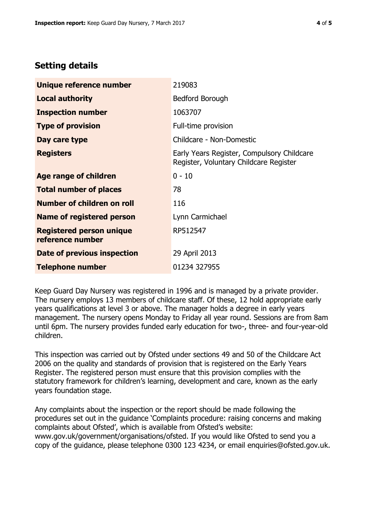# **Setting details**

| Unique reference number                             | 219083                                                                               |  |
|-----------------------------------------------------|--------------------------------------------------------------------------------------|--|
| <b>Local authority</b>                              | <b>Bedford Borough</b>                                                               |  |
| <b>Inspection number</b>                            | 1063707                                                                              |  |
| <b>Type of provision</b>                            | Full-time provision                                                                  |  |
| Day care type                                       | Childcare - Non-Domestic                                                             |  |
| <b>Registers</b>                                    | Early Years Register, Compulsory Childcare<br>Register, Voluntary Childcare Register |  |
| Age range of children                               | $0 - 10$                                                                             |  |
| <b>Total number of places</b>                       | 78                                                                                   |  |
| Number of children on roll                          | 116                                                                                  |  |
| <b>Name of registered person</b>                    | Lynn Carmichael                                                                      |  |
| <b>Registered person unique</b><br>reference number | RP512547                                                                             |  |
| Date of previous inspection                         | 29 April 2013                                                                        |  |
| <b>Telephone number</b>                             | 01234 327955                                                                         |  |

Keep Guard Day Nursery was registered in 1996 and is managed by a private provider. The nursery employs 13 members of childcare staff. Of these, 12 hold appropriate early years qualifications at level 3 or above. The manager holds a degree in early years management. The nursery opens Monday to Friday all year round. Sessions are from 8am until 6pm. The nursery provides funded early education for two-, three- and four-year-old children.

This inspection was carried out by Ofsted under sections 49 and 50 of the Childcare Act 2006 on the quality and standards of provision that is registered on the Early Years Register. The registered person must ensure that this provision complies with the statutory framework for children's learning, development and care, known as the early years foundation stage.

Any complaints about the inspection or the report should be made following the procedures set out in the guidance 'Complaints procedure: raising concerns and making complaints about Ofsted', which is available from Ofsted's website: www.gov.uk/government/organisations/ofsted. If you would like Ofsted to send you a copy of the guidance, please telephone 0300 123 4234, or email enquiries@ofsted.gov.uk.